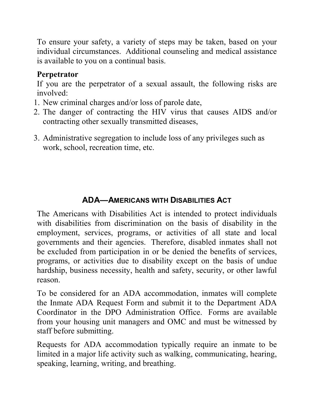To ensure your safety, a variety of steps may be taken, based on your individual circumstances. Additional counseling and medical assistance is available to you on a continual basis.

# **Perpetrator**

If you are the perpetrator of a sexual assault, the following risks are involved:

- 1. New criminal charges and/or loss of parole date,
- 2. The danger of contracting the HIV virus that causes AIDS and/or contracting other sexually transmitted diseases,
- 3. Administrative segregation to include loss of any privileges such as work, school, recreation time, etc.

# **ADA—AMERICANS WITH DISABILITIES ACT**

The Americans with Disabilities Act is intended to protect individuals with disabilities from discrimination on the basis of disability in the employment, services, programs, or activities of all state and local governments and their agencies. Therefore, disabled inmates shall not be excluded from participation in or be denied the benefits of services, programs, or activities due to disability except on the basis of undue hardship, business necessity, health and safety, security, or other lawful reason.

To be considered for an ADA accommodation, inmates will complete the Inmate ADA Request Form and submit it to the Department ADA Coordinator in the DPO Administration Office. Forms are available from your housing unit managers and OMC and must be witnessed by staff before submitting.

Requests for ADA accommodation typically require an inmate to be limited in a major life activity such as walking, communicating, hearing, speaking, learning, writing, and breathing.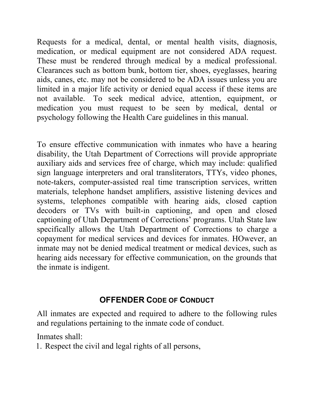Requests for a medical, dental, or mental health visits, diagnosis, medication, or medical equipment are not considered ADA request. These must be rendered through medical by a medical professional. Clearances such as bottom bunk, bottom tier, shoes, eyeglasses, hearing aids, canes, etc. may not be considered to be ADA issues unless you are limited in a major life activity or denied equal access if these items are not available. To seek medical advice, attention, equipment, or medication you must request to be seen by medical, dental or psychology following the Health Care guidelines in this manual.

To ensure effective communication with inmates who have a hearing disability, the Utah Department of Corrections will provide appropriate auxiliary aids and services free of charge, which may include: qualified sign language interpreters and oral transliterators, TTYs, video phones, note-takers, computer-assisted real time transcription services, written materials, telephone handset amplifiers, assistive listening devices and systems, telephones compatible with hearing aids, closed caption decoders or TVs with built-in captioning, and open and closed captioning of Utah Department of Corrections' programs. Utah State law specifically allows the Utah Department of Corrections to charge a copayment for medical services and devices for inmates. HOwever, an inmate may not be denied medical treatment or medical devices, such as hearing aids necessary for effective communication, on the grounds that the inmate is indigent.

# **OFFENDER CODE OF CONDUCT**

All inmates are expected and required to adhere to the following rules and regulations pertaining to the inmate code of conduct.

Inmates shall:

1. Respect the civil and legal rights of all persons,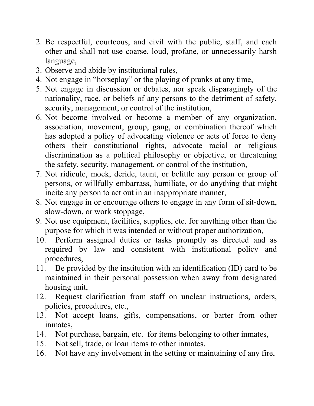- 2. Be respectful, courteous, and civil with the public, staff, and each other and shall not use coarse, loud, profane, or unnecessarily harsh language,
- 3. Observe and abide by institutional rules,
- 4. Not engage in "horseplay" or the playing of pranks at any time,
- 5. Not engage in discussion or debates, nor speak disparagingly of the nationality, race, or beliefs of any persons to the detriment of safety, security, management, or control of the institution,
- 6. Not become involved or become a member of any organization, association, movement, group, gang, or combination thereof which has adopted a policy of advocating violence or acts of force to deny others their constitutional rights, advocate racial or religious discrimination as a political philosophy or objective, or threatening the safety, security, management, or control of the institution,
- 7. Not ridicule, mock, deride, taunt, or belittle any person or group of persons, or willfully embarrass, humiliate, or do anything that might incite any person to act out in an inappropriate manner,
- 8. Not engage in or encourage others to engage in any form of sit-down, slow-down, or work stoppage,
- 9. Not use equipment, facilities, supplies, etc. for anything other than the purpose for which it was intended or without proper authorization,
- 10. Perform assigned duties or tasks promptly as directed and as required by law and consistent with institutional policy and procedures,
- 11. Be provided by the institution with an identification (ID) card to be maintained in their personal possession when away from designated housing unit,
- 12. Request clarification from staff on unclear instructions, orders, policies, procedures, etc.,
- 13. Not accept loans, gifts, compensations, or barter from other inmates,
- 14. Not purchase, bargain, etc. for items belonging to other inmates,
- 15. Not sell, trade, or loan items to other inmates,
- 16. Not have any involvement in the setting or maintaining of any fire,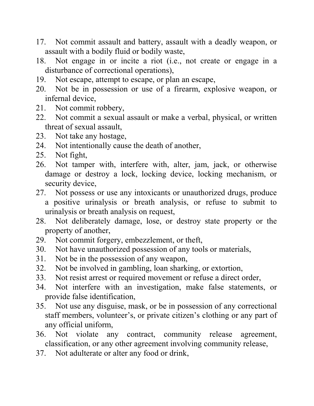- 17. Not commit assault and battery, assault with a deadly weapon, or assault with a bodily fluid or bodily waste,
- 18. Not engage in or incite a riot (i.e., not create or engage in a disturbance of correctional operations),
- 19. Not escape, attempt to escape, or plan an escape,
- 20. Not be in possession or use of a firearm, explosive weapon, or infernal device,
- 21. Not commit robbery,
- 22. Not commit a sexual assault or make a verbal, physical, or written threat of sexual assault,
- 23. Not take any hostage,
- 24. Not intentionally cause the death of another,
- 25. Not fight,
- 26. Not tamper with, interfere with, alter, jam, jack, or otherwise damage or destroy a lock, locking device, locking mechanism, or security device,
- 27. Not possess or use any intoxicants or unauthorized drugs, produce a positive urinalysis or breath analysis, or refuse to submit to urinalysis or breath analysis on request,
- 28. Not deliberately damage, lose, or destroy state property or the property of another,
- 29. Not commit forgery, embezzlement, or theft,
- 30. Not have unauthorized possession of any tools or materials,
- 31. Not be in the possession of any weapon,
- 32. Not be involved in gambling, loan sharking, or extortion,
- 33. Not resist arrest or required movement or refuse a direct order,
- 34. Not interfere with an investigation, make false statements, or provide false identification,
- 35. Not use any disguise, mask, or be in possession of any correctional staff members, volunteer's, or private citizen's clothing or any part of any official uniform,
- 36. Not violate any contract, community release agreement, classification, or any other agreement involving community release,
- 37. Not adulterate or alter any food or drink,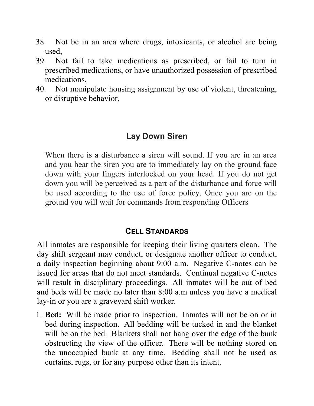- 38. Not be in an area where drugs, intoxicants, or alcohol are being used,
- 39. Not fail to take medications as prescribed, or fail to turn in prescribed medications, or have unauthorized possession of prescribed medications,
- 40. Not manipulate housing assignment by use of violent, threatening, or disruptive behavior,

# **Lay Down Siren**

When there is a disturbance a siren will sound. If you are in an area and you hear the siren you are to immediately lay on the ground face down with your fingers interlocked on your head. If you do not get down you will be perceived as a part of the disturbance and force will be used according to the use of force policy. Once you are on the ground you will wait for commands from responding Officers

## **CELL STANDARDS**

All inmates are responsible for keeping their living quarters clean. The day shift sergeant may conduct, or designate another officer to conduct, a daily inspection beginning about 9:00 a.m. Negative C-notes can be issued for areas that do not meet standards. Continual negative C-notes will result in disciplinary proceedings. All inmates will be out of bed and beds will be made no later than 8:00 a.m unless you have a medical lay-in or you are a graveyard shift worker.

1. **Bed:** Will be made prior to inspection. Inmates will not be on or in bed during inspection. All bedding will be tucked in and the blanket will be on the bed. Blankets shall not hang over the edge of the bunk obstructing the view of the officer. There will be nothing stored on the unoccupied bunk at any time. Bedding shall not be used as curtains, rugs, or for any purpose other than its intent.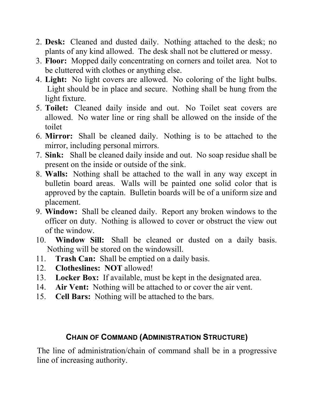- 2. **Desk:** Cleaned and dusted daily. Nothing attached to the desk; no plants of any kind allowed. The desk shall not be cluttered or messy.
- 3. **Floor:** Mopped daily concentrating on corners and toilet area. Not to be cluttered with clothes or anything else.
- 4. **Light:** No light covers are allowed. No coloring of the light bulbs. Light should be in place and secure. Nothing shall be hung from the light fixture.
- 5. **Toilet:** Cleaned daily inside and out. No Toilet seat covers are allowed. No water line or ring shall be allowed on the inside of the toilet
- 6. **Mirror:** Shall be cleaned daily. Nothing is to be attached to the mirror, including personal mirrors.
- 7. **Sink:** Shall be cleaned daily inside and out. No soap residue shall be present on the inside or outside of the sink.
- 8. **Walls:** Nothing shall be attached to the wall in any way except in bulletin board areas. Walls will be painted one solid color that is approved by the captain. Bulletin boards will be of a uniform size and placement.
- 9. **Window:** Shall be cleaned daily. Report any broken windows to the officer on duty. Nothing is allowed to cover or obstruct the view out of the window.
- 10. **Window Sill:** Shall be cleaned or dusted on a daily basis. Nothing will be stored on the windowsill.
- 11. **Trash Can:** Shall be emptied on a daily basis.
- 12. **Clotheslines: NOT** allowed!
- 13. **Locker Box:** If available, must be kept in the designated area.<br>14. **Air Vent:** Nothing will be attached to or cover the air vent.
- Air Vent: Nothing will be attached to or cover the air vent.
- 15. **Cell Bars:** Nothing will be attached to the bars.

## **CHAIN OF COMMAND (ADMINISTRATION STRUCTURE)**

The line of administration/chain of command shall be in a progressive line of increasing authority.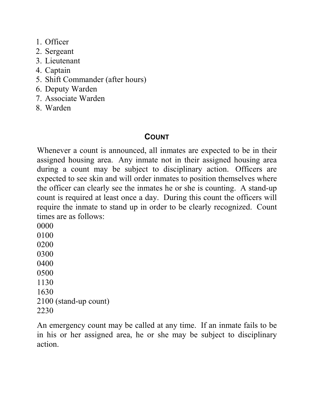- 1. Officer
- 2. Sergeant
- 3. Lieutenant
- 4. Captain
- 5. Shift Commander (after hours)
- 6. Deputy Warden
- 7. Associate Warden
- 8. Warden

# **COUNT**

Whenever a count is announced, all inmates are expected to be in their assigned housing area. Any inmate not in their assigned housing area during a count may be subject to disciplinary action. Officers are expected to see skin and will order inmates to position themselves where the officer can clearly see the inmates he or she is counting. A stand-up count is required at least once a day. During this count the officers will require the inmate to stand up in order to be clearly recognized. Count times are as follows:

An emergency count may be called at any time. If an inmate fails to be in his or her assigned area, he or she may be subject to disciplinary action.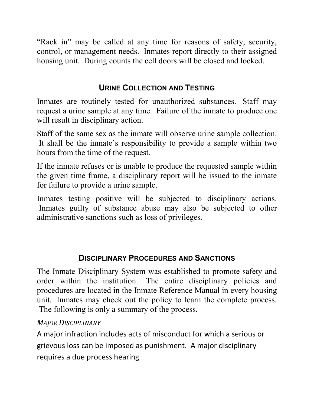"Rack in" may be called at any time for reasons of safety, security, control, or management needs. Inmates report directly to their assigned housing unit. During counts the cell doors will be closed and locked.

### **URINE COLLECTION AND TESTING**

Inmates are routinely tested for unauthorized substances. Staff may request a urine sample at any time. Failure of the inmate to produce one will result in disciplinary action.

Staff of the same sex as the inmate will observe urine sample collection. It shall be the inmate's responsibility to provide a sample within two hours from the time of the request.

If the inmate refuses or is unable to produce the requested sample within the given time frame, a disciplinary report will be issued to the inmate for failure to provide a urine sample.

Inmates testing positive will be subjected to disciplinary actions. Inmates guilty of substance abuse may also be subjected to other administrative sanctions such as loss of privileges.

## **DISCIPLINARY PROCEDURES AND SANCTIONS**

The Inmate Disciplinary System was established to promote safety and order within the institution. The entire disciplinary policies and procedures are located in the Inmate Reference Manual in every housing unit. Inmates may check out the policy to learn the complete process. The following is only a summary of the process.

#### *MAJOR DISCIPLINARY*

A major infraction includes acts of misconduct for which a serious or grievous loss can be imposed as punishment. A major disciplinary requires a due process hearing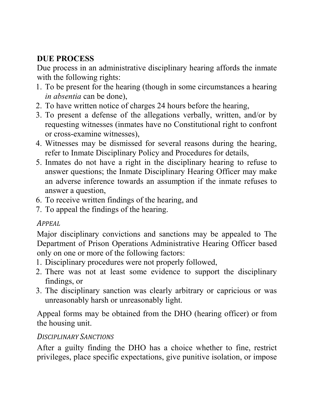# **DUE PROCESS**

Due process in an administrative disciplinary hearing affords the inmate with the following rights:

- 1. To be present for the hearing (though in some circumstances a hearing *in absentia* can be done),
- 2. To have written notice of charges 24 hours before the hearing,
- 3. To present a defense of the allegations verbally, written, and/or by requesting witnesses (inmates have no Constitutional right to confront or cross-examine witnesses),
- 4. Witnesses may be dismissed for several reasons during the hearing, refer to Inmate Disciplinary Policy and Procedures for details,
- 5. Inmates do not have a right in the disciplinary hearing to refuse to answer questions; the Inmate Disciplinary Hearing Officer may make an adverse inference towards an assumption if the inmate refuses to answer a question,
- 6. To receive written findings of the hearing, and
- 7. To appeal the findings of the hearing.

# *APPEAL*

Major disciplinary convictions and sanctions may be appealed to The Department of Prison Operations Administrative Hearing Officer based only on one or more of the following factors:

- 1. Disciplinary procedures were not properly followed,
- 2. There was not at least some evidence to support the disciplinary findings, or
- 3. The disciplinary sanction was clearly arbitrary or capricious or was unreasonably harsh or unreasonably light.

Appeal forms may be obtained from the DHO (hearing officer) or from the housing unit.

## *DISCIPLINARY SANCTIONS*

After a guilty finding the DHO has a choice whether to fine, restrict privileges, place specific expectations, give punitive isolation, or impose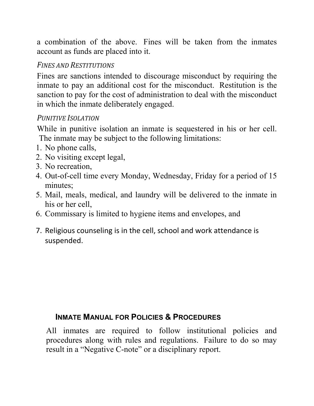a combination of the above. Fines will be taken from the inmates account as funds are placed into it.

#### *FINES AND RESTITUTIONS*

Fines are sanctions intended to discourage misconduct by requiring the inmate to pay an additional cost for the misconduct. Restitution is the sanction to pay for the cost of administration to deal with the misconduct in which the inmate deliberately engaged.

## *PUNITIVE ISOLATION*

While in punitive isolation an inmate is sequestered in his or her cell. The inmate may be subject to the following limitations:

- 1. No phone calls,
- 2. No visiting except legal,
- 3. No recreation,
- 4. Out-of-cell time every Monday, Wednesday, Friday for a period of 15 minutes;
- 5. Mail, meals, medical, and laundry will be delivered to the inmate in his or her cell,
- 6. Commissary is limited to hygiene items and envelopes, and
- 7. Religious counseling is in the cell, school and work attendance is suspended.

#### **INMATE MANUAL FOR POLICIES & PROCEDURES**

All inmates are required to follow institutional policies and procedures along with rules and regulations. Failure to do so may result in a "Negative C-note" or a disciplinary report.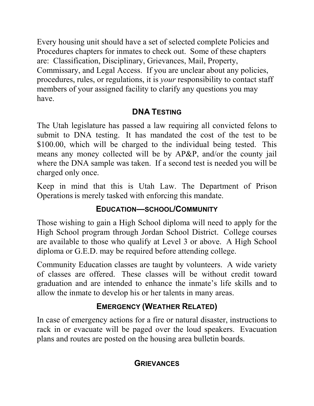Every housing unit should have a set of selected complete Policies and Procedures chapters for inmates to check out. Some of these chapters are: Classification, Disciplinary, Grievances, Mail, Property, Commissary, and Legal Access. If you are unclear about any policies, procedures, rules, or regulations, it is *your* responsibility to contact staff members of your assigned facility to clarify any questions you may have.

## **DNA TESTING**

The Utah legislature has passed a law requiring all convicted felons to submit to DNA testing. It has mandated the cost of the test to be \$100.00, which will be charged to the individual being tested. This means any money collected will be by AP&P, and/or the county jail where the DNA sample was taken. If a second test is needed you will be charged only once.

Keep in mind that this is Utah Law. The Department of Prison Operations is merely tasked with enforcing this mandate.

# **EDUCATION—SCHOOL/COMMUNITY**

Those wishing to gain a High School diploma will need to apply for the High School program through Jordan School District. College courses are available to those who qualify at Level 3 or above. A High School diploma or G.E.D. may be required before attending college.

Community Education classes are taught by volunteers. A wide variety of classes are offered. These classes will be without credit toward graduation and are intended to enhance the inmate's life skills and to allow the inmate to develop his or her talents in many areas.

# **EMERGENCY (WEATHER RELATED)**

In case of emergency actions for a fire or natural disaster, instructions to rack in or evacuate will be paged over the loud speakers. Evacuation plans and routes are posted on the housing area bulletin boards.

## **GRIEVANCES**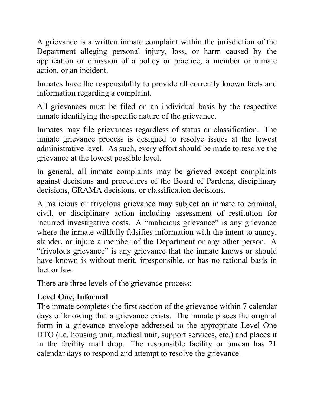A grievance is a written inmate complaint within the jurisdiction of the Department alleging personal injury, loss, or harm caused by the application or omission of a policy or practice, a member or inmate action, or an incident.

Inmates have the responsibility to provide all currently known facts and information regarding a complaint.

All grievances must be filed on an individual basis by the respective inmate identifying the specific nature of the grievance.

Inmates may file grievances regardless of status or classification. The inmate grievance process is designed to resolve issues at the lowest administrative level. As such, every effort should be made to resolve the grievance at the lowest possible level.

In general, all inmate complaints may be grieved except complaints against decisions and procedures of the Board of Pardons, disciplinary decisions, GRAMA decisions, or classification decisions.

A malicious or frivolous grievance may subject an inmate to criminal, civil, or disciplinary action including assessment of restitution for incurred investigative costs. A "malicious grievance" is any grievance where the inmate willfully falsifies information with the intent to annoy, slander, or injure a member of the Department or any other person. A "frivolous grievance" is any grievance that the inmate knows or should have known is without merit, irresponsible, or has no rational basis in fact or law.

There are three levels of the grievance process:

## **Level One, Informal**

The inmate completes the first section of the grievance within 7 calendar days of knowing that a grievance exists. The inmate places the original form in a grievance envelope addressed to the appropriate Level One DTO (i.e. housing unit, medical unit, support services, etc.) and places it in the facility mail drop. The responsible facility or bureau has 21 calendar days to respond and attempt to resolve the grievance.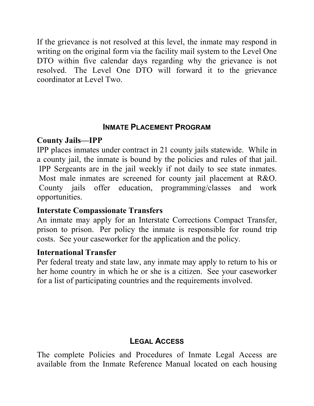If the grievance is not resolved at this level, the inmate may respond in writing on the original form via the facility mail system to the Level One DTO within five calendar days regarding why the grievance is not resolved. The Level One DTO will forward it to the grievance coordinator at Level Two.

#### **INMATE PLACEMENT PROGRAM**

### **County Jails—IPP**

IPP places inmates under contract in 21 county jails statewide. While in a county jail, the inmate is bound by the policies and rules of that jail. IPP Sergeants are in the jail weekly if not daily to see state inmates. Most male inmates are screened for county jail placement at R&O. County jails offer education, programming/classes and work opportunities.

#### **Interstate Compassionate Transfers**

An inmate may apply for an Interstate Corrections Compact Transfer, prison to prison. Per policy the inmate is responsible for round trip costs. See your caseworker for the application and the policy.

## **International Transfer**

Per federal treaty and state law, any inmate may apply to return to his or her home country in which he or she is a citizen. See your caseworker for a list of participating countries and the requirements involved.

# **LEGAL ACCESS**

The complete Policies and Procedures of Inmate Legal Access are available from the Inmate Reference Manual located on each housing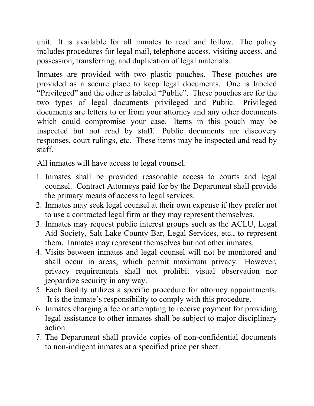unit. It is available for all inmates to read and follow. The policy includes procedures for legal mail, telephone access, visiting access, and possession, transferring, and duplication of legal materials.

Inmates are provided with two plastic pouches. These pouches are provided as a secure place to keep legal documents. One is labeled "Privileged" and the other is labeled "Public". These pouches are for the two types of legal documents privileged and Public. Privileged documents are letters to or from your attorney and any other documents which could compromise your case. Items in this pouch may be inspected but not read by staff. Public documents are discovery responses, court rulings, etc. These items may be inspected and read by staff.

All inmates will have access to legal counsel.

- 1. Inmates shall be provided reasonable access to courts and legal counsel. Contract Attorneys paid for by the Department shall provide the primary means of access to legal services.
- 2. Inmates may seek legal counsel at their own expense if they prefer not to use a contracted legal firm or they may represent themselves.
- 3. Inmates may request public interest groups such as the ACLU, Legal Aid Society, Salt Lake County Bar, Legal Services, etc., to represent them. Inmates may represent themselves but not other inmates.
- 4. Visits between inmates and legal counsel will not be monitored and shall occur in areas, which permit maximum privacy. However, privacy requirements shall not prohibit visual observation nor jeopardize security in any way.
- 5. Each facility utilizes a specific procedure for attorney appointments. It is the inmate's responsibility to comply with this procedure.
- 6. Inmates charging a fee or attempting to receive payment for providing legal assistance to other inmates shall be subject to major disciplinary action.
- 7. The Department shall provide copies of non-confidential documents to non-indigent inmates at a specified price per sheet.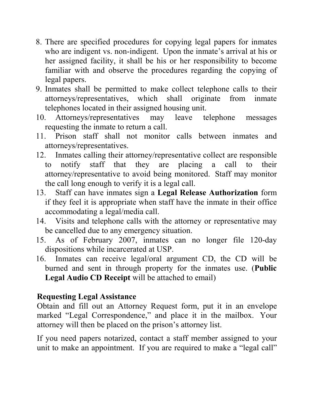- 8. There are specified procedures for copying legal papers for inmates who are indigent vs. non-indigent. Upon the inmate's arrival at his or her assigned facility, it shall be his or her responsibility to become familiar with and observe the procedures regarding the copying of legal papers.
- 9. Inmates shall be permitted to make collect telephone calls to their attorneys/representatives, which shall originate from inmate telephones located in their assigned housing unit.
- 10. Attorneys/representatives may leave telephone messages requesting the inmate to return a call.
- 11. Prison staff shall not monitor calls between inmates and attorneys/representatives.
- 12. Inmates calling their attorney/representative collect are responsible to notify staff that they are placing a call to their attorney/representative to avoid being monitored. Staff may monitor the call long enough to verify it is a legal call.
- 13. Staff can have inmates sign a **Legal Release Authorization** form if they feel it is appropriate when staff have the inmate in their office accommodating a legal/media call.
- 14. Visits and telephone calls with the attorney or representative may be cancelled due to any emergency situation.
- 15. As of February 2007, inmates can no longer file 120-day dispositions while incarcerated at USP.
- 16. Inmates can receive legal/oral argument CD, the CD will be burned and sent in through property for the inmates use. (**Public Legal Audio CD Receipt** will be attached to email)

#### **Requesting Legal Assistance**

Obtain and fill out an Attorney Request form, put it in an envelope marked "Legal Correspondence," and place it in the mailbox. Your attorney will then be placed on the prison's attorney list.

If you need papers notarized, contact a staff member assigned to your unit to make an appointment. If you are required to make a "legal call"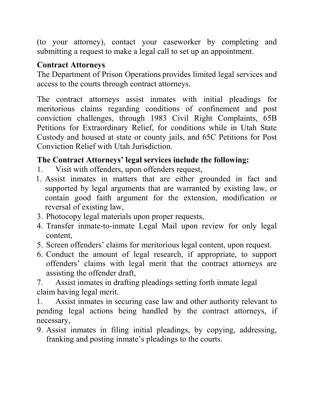(to your attorney), contact your caseworker by completing and submitting a request to make a legal call to set up an appointment.

# **Contract Attorneys**

The Department of Prison Operations provides limited legal services and access to the courts through contract attorneys.

The contract attorneys assist inmates with initial pleadings for meritorious claims regarding conditions of confinement and post conviction challenges, through 1983 Civil Right Complaints, 65B Petitions for Extraordinary Relief, for conditions while in Utah State Custody and housed at state or county jails, and 65C Petitions for Post Conviction Relief with Utah Jurisdiction.

# **The Contract Attorneys' legal services include the following:**

- 1. Visit with offenders, upon offenders request,
- 1. Assist inmates in matters that are either grounded in fact and supported by legal arguments that are warranted by existing law, or contain good faith argument for the extension, modification or reversal of existing law,
- 3. Photocopy legal materials upon proper requests,
- 4. Transfer inmate-to-inmate Legal Mail upon review for only legal content,
- 5. Screen offenders' claims for meritorious legal content, upon request.
- 6. Conduct the amount of legal research, if appropriate, to support offenders' claims with legal merit that the contract attorneys are assisting the offender draft,

7. Assist inmates in drafting pleadings setting forth inmate legal claim having legal merit.

1. Assist inmates in securing case law and other authority relevant to pending legal actions being handled by the contract attorneys, if necessary,

9. Assist inmates in filing initial pleadings, by copying, addressing, franking and posting inmate's pleadings to the courts.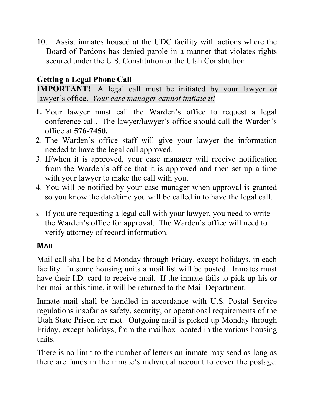10. Assist inmates housed at the UDC facility with actions where the Board of Pardons has denied parole in a manner that violates rights secured under the U.S. Constitution or the Utah Constitution.

# **Getting a Legal Phone Call**

**IMPORTANT!** A legal call must be initiated by your lawyer or lawyer's office. *Your case manager cannot initiate it!*

- **1.** Your lawyer must call the Warden's office to request a legal conference call. The lawyer/lawyer's office should call the Warden's office at **576-7450.**
- 2. The Warden's office staff will give your lawyer the information needed to have the legal call approved.
- 3. If/when it is approved, your case manager will receive notification from the Warden's office that it is approved and then set up a time with your lawyer to make the call with you.
- 4. You will be notified by your case manager when approval is granted so you know the date/time you will be called in to have the legal call.
- 5. If you are requesting a legal call with your lawyer, you need to write the Warden's office for approval. The Warden's office will need to verify attorney of record information.

#### **MAIL**

Mail call shall be held Monday through Friday, except holidays, in each facility. In some housing units a mail list will be posted. Inmates must have their I.D. card to receive mail. If the inmate fails to pick up his or her mail at this time, it will be returned to the Mail Department.

Inmate mail shall be handled in accordance with U.S. Postal Service regulations insofar as safety, security, or operational requirements of the Utah State Prison are met. Outgoing mail is picked up Monday through Friday, except holidays, from the mailbox located in the various housing units.

There is no limit to the number of letters an inmate may send as long as there are funds in the inmate's individual account to cover the postage.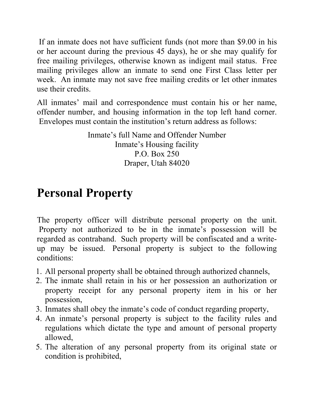If an inmate does not have sufficient funds (not more than \$9.00 in his or her account during the previous 45 days), he or she may qualify for free mailing privileges, otherwise known as indigent mail status. Free mailing privileges allow an inmate to send one First Class letter per week. An inmate may not save free mailing credits or let other inmates use their credits.

All inmates' mail and correspondence must contain his or her name, offender number, and housing information in the top left hand corner. Envelopes must contain the institution's return address as follows:

> Inmate's full Name and Offender Number Inmate's Housing facility P.O. Box 250 Draper, Utah 84020

# **Personal Property**

The property officer will distribute personal property on the unit. Property not authorized to be in the inmate's possession will be regarded as contraband. Such property will be confiscated and a writeup may be issued. Personal property is subject to the following conditions:

- 1. All personal property shall be obtained through authorized channels,
- 2. The inmate shall retain in his or her possession an authorization or property receipt for any personal property item in his or her possession,
- 3. Inmates shall obey the inmate's code of conduct regarding property,
- 4. An inmate's personal property is subject to the facility rules and regulations which dictate the type and amount of personal property allowed,
- 5. The alteration of any personal property from its original state or condition is prohibited,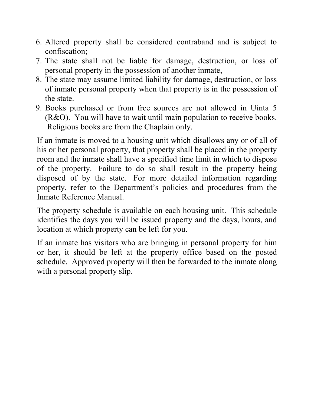- 6. Altered property shall be considered contraband and is subject to confiscation;
- 7. The state shall not be liable for damage, destruction, or loss of personal property in the possession of another inmate,
- 8. The state may assume limited liability for damage, destruction, or loss of inmate personal property when that property is in the possession of the state.
- 9. Books purchased or from free sources are not allowed in Uinta 5 (R&O). You will have to wait until main population to receive books. Religious books are from the Chaplain only.

If an inmate is moved to a housing unit which disallows any or of all of his or her personal property, that property shall be placed in the property room and the inmate shall have a specified time limit in which to dispose of the property. Failure to do so shall result in the property being disposed of by the state. For more detailed information regarding property, refer to the Department's policies and procedures from the Inmate Reference Manual.

The property schedule is available on each housing unit. This schedule identifies the days you will be issued property and the days, hours, and location at which property can be left for you.

If an inmate has visitors who are bringing in personal property for him or her, it should be left at the property office based on the posted schedule. Approved property will then be forwarded to the inmate along with a personal property slip.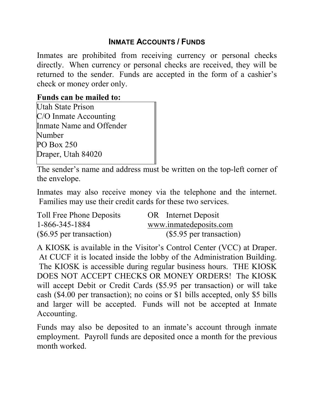## **INMATE ACCOUNTS / FUNDS**

Inmates are prohibited from receiving currency or personal checks directly. When currency or personal checks are received, they will be returned to the sender. Funds are accepted in the form of a cashier's check or money order only.

#### **Funds can be mailed to:**

Utah State Prison C/O Inmate Accounting Inmate Name and Offender Number PO Box 250 Draper, Utah 84020

The sender's name and address must be written on the top-left corner of the envelope.

Inmates may also receive money via the telephone and the internet. Families may use their credit cards for these two services.

| Toll Free Phone Deposits   | OR Internet Deposit       |
|----------------------------|---------------------------|
| 1-866-345-1884             | www.inmatedeposits.com    |
| $(\$6.95$ per transaction) | $($5.95$ per transaction) |

A KIOSK is available in the Visitor's Control Center (VCC) at Draper. At CUCF it is located inside the lobby of the Administration Building. The KIOSK is accessible during regular business hours. THE KIOSK DOES NOT ACCEPT CHECKS OR MONEY ORDERS! The KIOSK will accept Debit or Credit Cards (\$5.95 per transaction) or will take cash (\$4.00 per transaction); no coins or \$1 bills accepted, only \$5 bills and larger will be accepted. Funds will not be accepted at Inmate Accounting.

Funds may also be deposited to an inmate's account through inmate employment. Payroll funds are deposited once a month for the previous month worked.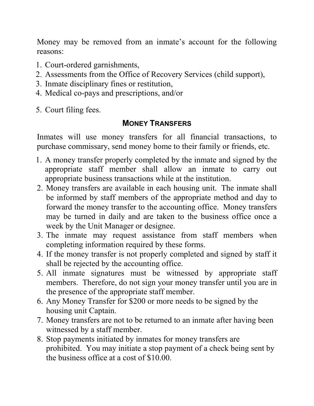Money may be removed from an inmate's account for the following reasons:

- 1. Court-ordered garnishments,
- 2. Assessments from the Office of Recovery Services (child support),
- 3. Inmate disciplinary fines or restitution,
- 4. Medical co-pays and prescriptions, and/or
- 5. Court filing fees.

# **MONEY TRANSFERS**

Inmates will use money transfers for all financial transactions, to purchase commissary, send money home to their family or friends, etc.

- 1. A money transfer properly completed by the inmate and signed by the appropriate staff member shall allow an inmate to carry out appropriate business transactions while at the institution.
- 2. Money transfers are available in each housing unit. The inmate shall be informed by staff members of the appropriate method and day to forward the money transfer to the accounting office. Money transfers may be turned in daily and are taken to the business office once a week by the Unit Manager or designee.
- 3. The inmate may request assistance from staff members when completing information required by these forms.
- 4. If the money transfer is not properly completed and signed by staff it shall be rejected by the accounting office.
- 5. All inmate signatures must be witnessed by appropriate staff members. Therefore, do not sign your money transfer until you are in the presence of the appropriate staff member.
- 6. Any Money Transfer for \$200 or more needs to be signed by the housing unit Captain.
- 7. Money transfers are not to be returned to an inmate after having been witnessed by a staff member.
- 8. Stop payments initiated by inmates for money transfers are prohibited. You may initiate a stop payment of a check being sent by the business office at a cost of \$10.00.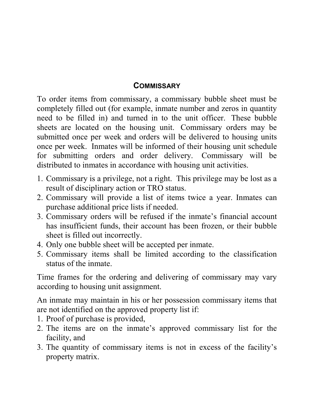#### **COMMISSARY**

To order items from commissary, a commissary bubble sheet must be completely filled out (for example, inmate number and zeros in quantity need to be filled in) and turned in to the unit officer. These bubble sheets are located on the housing unit. Commissary orders may be submitted once per week and orders will be delivered to housing units once per week. Inmates will be informed of their housing unit schedule for submitting orders and order delivery. Commissary will be distributed to inmates in accordance with housing unit activities.

- 1. Commissary is a privilege, not a right. This privilege may be lost as a result of disciplinary action or TRO status.
- 2. Commissary will provide a list of items twice a year. Inmates can purchase additional price lists if needed.
- 3. Commissary orders will be refused if the inmate's financial account has insufficient funds, their account has been frozen, or their bubble sheet is filled out incorrectly.
- 4. Only one bubble sheet will be accepted per inmate.
- 5. Commissary items shall be limited according to the classification status of the inmate.

Time frames for the ordering and delivering of commissary may vary according to housing unit assignment.

An inmate may maintain in his or her possession commissary items that are not identified on the approved property list if:

- 1. Proof of purchase is provided,
- 2. The items are on the inmate's approved commissary list for the facility, and
- 3. The quantity of commissary items is not in excess of the facility's property matrix.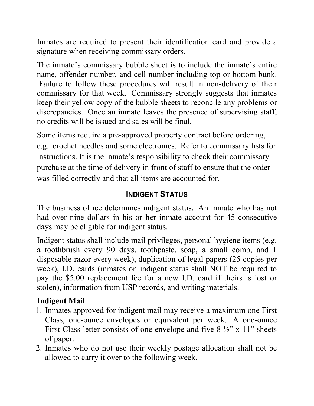Inmates are required to present their identification card and provide a signature when receiving commissary orders.

The inmate's commissary bubble sheet is to include the inmate's entire name, offender number, and cell number including top or bottom bunk. Failure to follow these procedures will result in non-delivery of their commissary for that week. Commissary strongly suggests that inmates keep their yellow copy of the bubble sheets to reconcile any problems or discrepancies. Once an inmate leaves the presence of supervising staff, no credits will be issued and sales will be final.

Some items require a pre-approved property contract before ordering, e.g. crochet needles and some electronics. Refer to commissary lists for instructions. It is the inmate's responsibility to check their commissary purchase at the time of delivery in front of staff to ensure that the order was filled correctly and that all items are accounted for.

## **INDIGENT STATUS**

The business office determines indigent status. An inmate who has not had over nine dollars in his or her inmate account for 45 consecutive days may be eligible for indigent status.

Indigent status shall include mail privileges, personal hygiene items (e.g. a toothbrush every 90 days, toothpaste, soap, a small comb, and 1 disposable razor every week), duplication of legal papers (25 copies per week), I.D. cards (inmates on indigent status shall NOT be required to pay the \$5.00 replacement fee for a new I.D. card if theirs is lost or stolen), information from USP records, and writing materials.

# **Indigent Mail**

- 1. Inmates approved for indigent mail may receive a maximum one First Class, one-ounce envelopes or equivalent per week. A one-ounce First Class letter consists of one envelope and five  $8\frac{1}{2}$ " x 11" sheets of paper.
- 2. Inmates who do not use their weekly postage allocation shall not be allowed to carry it over to the following week.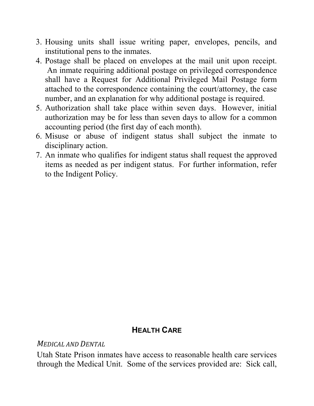- 3. Housing units shall issue writing paper, envelopes, pencils, and institutional pens to the inmates.
- 4. Postage shall be placed on envelopes at the mail unit upon receipt. An inmate requiring additional postage on privileged correspondence shall have a Request for Additional Privileged Mail Postage form attached to the correspondence containing the court/attorney, the case number, and an explanation for why additional postage is required.
- 5. Authorization shall take place within seven days. However, initial authorization may be for less than seven days to allow for a common accounting period (the first day of each month).
- 6. Misuse or abuse of indigent status shall subject the inmate to disciplinary action.
- 7. An inmate who qualifies for indigent status shall request the approved items as needed as per indigent status. For further information, refer to the Indigent Policy.

# **HEALTH CARE**

#### *MEDICAL AND DENTAL*

Utah State Prison inmates have access to reasonable health care services through the Medical Unit. Some of the services provided are: Sick call,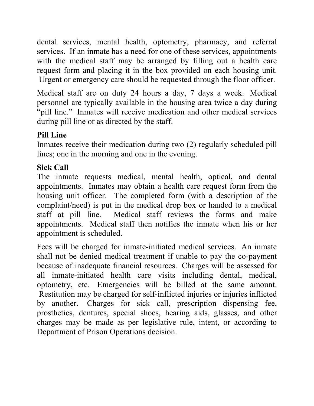dental services, mental health, optometry, pharmacy, and referral services. If an inmate has a need for one of these services, appointments with the medical staff may be arranged by filling out a health care request form and placing it in the box provided on each housing unit. Urgent or emergency care should be requested through the floor officer.

Medical staff are on duty 24 hours a day, 7 days a week. Medical personnel are typically available in the housing area twice a day during "pill line." Inmates will receive medication and other medical services during pill line or as directed by the staff.

## **Pill Line**

Inmates receive their medication during two (2) regularly scheduled pill lines; one in the morning and one in the evening.

# **Sick Call**

The inmate requests medical, mental health, optical, and dental appointments. Inmates may obtain a health care request form from the housing unit officer. The completed form (with a description of the complaint/need) is put in the medical drop box or handed to a medical staff at pill line. Medical staff reviews the forms and make appointments. Medical staff then notifies the inmate when his or her appointment is scheduled.

Fees will be charged for inmate-initiated medical services. An inmate shall not be denied medical treatment if unable to pay the co-payment because of inadequate financial resources. Charges will be assessed for all inmate-initiated health care visits including dental, medical, optometry, etc. Emergencies will be billed at the same amount. Restitution may be charged for self-inflicted injuries or injuries inflicted by another. Charges for sick call, prescription dispensing fee, prosthetics, dentures, special shoes, hearing aids, glasses, and other charges may be made as per legislative rule, intent, or according to Department of Prison Operations decision.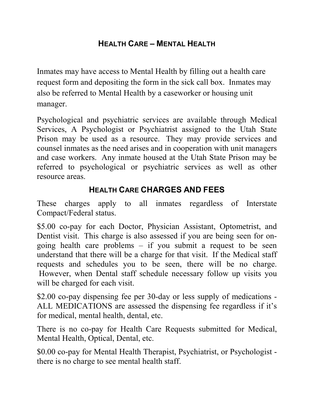## **HEALTH CARE – MENTAL HEALTH**

Inmates may have access to Mental Health by filling out a health care request form and depositing the form in the sick call box. Inmates may also be referred to Mental Health by a caseworker or housing unit manager.

Psychological and psychiatric services are available through Medical Services, A Psychologist or Psychiatrist assigned to the Utah State Prison may be used as a resource. They may provide services and counsel inmates as the need arises and in cooperation with unit managers and case workers. Any inmate housed at the Utah State Prison may be referred to psychological or psychiatric services as well as other resource areas.

# **HEALTH CARE CHARGES AND FEES**

These charges apply to all inmates regardless of Interstate Compact/Federal status.

\$5.00 co-pay for each Doctor, Physician Assistant, Optometrist, and Dentist visit. This charge is also assessed if you are being seen for ongoing health care problems – if you submit a request to be seen understand that there will be a charge for that visit. If the Medical staff requests and schedules you to be seen, there will be no charge. However, when Dental staff schedule necessary follow up visits you will be charged for each visit.

\$2.00 co-pay dispensing fee per 30-day or less supply of medications - ALL MEDICATIONS are assessed the dispensing fee regardless if it's for medical, mental health, dental, etc.

There is no co-pay for Health Care Requests submitted for Medical, Mental Health, Optical, Dental, etc.

\$0.00 co-pay for Mental Health Therapist, Psychiatrist, or Psychologist there is no charge to see mental health staff.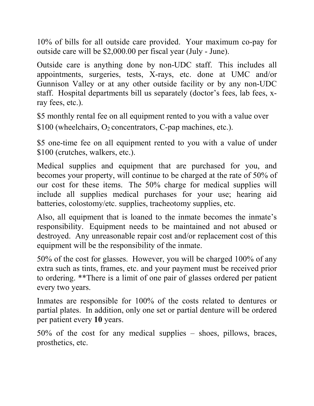10% of bills for all outside care provided. Your maximum co-pay for outside care will be \$2,000.00 per fiscal year (July - June).

Outside care is anything done by non-UDC staff. This includes all appointments, surgeries, tests, X-rays, etc. done at UMC and/or Gunnison Valley or at any other outside facility or by any non-UDC staff. Hospital departments bill us separately (doctor's fees, lab fees, xray fees, etc.).

\$5 monthly rental fee on all equipment rented to you with a value over  $$100$  (wheelchairs, O<sub>2</sub> concentrators, C-pap machines, etc.).

\$5 one-time fee on all equipment rented to you with a value of under \$100 (crutches, walkers, etc.).

Medical supplies and equipment that are purchased for you, and becomes your property, will continue to be charged at the rate of 50% of our cost for these items. The 50% charge for medical supplies will include all supplies medical purchases for your use; hearing aid batteries, colostomy/etc. supplies, tracheotomy supplies, etc.

Also, all equipment that is loaned to the inmate becomes the inmate's responsibility. Equipment needs to be maintained and not abused or destroyed. Any unreasonable repair cost and/or replacement cost of this equipment will be the responsibility of the inmate.

50% of the cost for glasses. However, you will be charged 100% of any extra such as tints, frames, etc. and your payment must be received prior to ordering. \*\*There is a limit of one pair of glasses ordered per patient every two years.

Inmates are responsible for 100% of the costs related to dentures or partial plates. In addition, only one set or partial denture will be ordered per patient every **10** years.

50% of the cost for any medical supplies – shoes, pillows, braces, prosthetics, etc.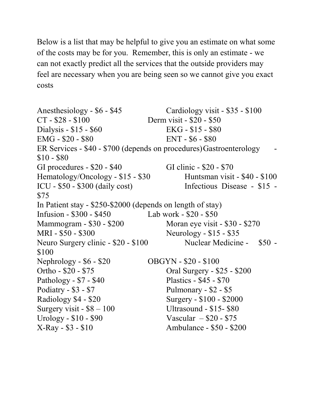Below is a list that may be helpful to give you an estimate on what some of the costs may be for you. Remember, this is only an estimate - we can not exactly predict all the services that the outside providers may feel are necessary when you are being seen so we cannot give you exact costs **Public**

**UDC GRAMA Classified** 

Anesthesiology - \$6 - \$45 Cardiology visit - \$35 - \$100 CT - \$28 - \$100 Derm visit - \$20 - \$50 Dialysis - \$15 - \$60 EKG - \$15 - \$80 EMG - \$20 - \$80 ENT - \$6 - \$80 ER Services - \$40 - \$700 (depends on procedures) Gastroenterology \$10 - \$80 GI procedures - \$20 - \$40 GI clinic - \$20 - \$70 Hematology/Oncology -  $$15 - $30$  Huntsman visit -  $$40 - $100$ ICU - \$50 - \$300 (daily cost) Infectious Disease - \$15 - \$75 In Patient stay - \$250-\$2000 (depends on length of stay) Infusion - \$300 - \$450 Lab work - \$20 - \$50 Mammogram - \$30 - \$200 Moran eye visit - \$30 - \$270 MRI - \$50 - \$300 Neurology - \$15 - \$35 Neuro Surgery clinic - \$20 - \$100 Nuclear Medicine - \$50 -\$100 Nephrology - \$6 - \$20 OBGYN - \$20 - \$100 Ortho - \$20 - \$75 Oral Surgery - \$25 - \$200 Pathology - \$7 - \$40 Plastics - \$45 - \$70 Podiatry - \$3 - \$7 Pulmonary - \$2 - \$5 Radiology \$4 - \$20 Surgery - \$100 - \$2000 Surgery visit  $-$  \$8  $-$  100 Ultrasound  $-$  \$15- \$80 Urology -  $$10 - $90$  Vascular  $- $20 - $75$ X-Ray - \$3 - \$10 Ambulance - \$50 - \$200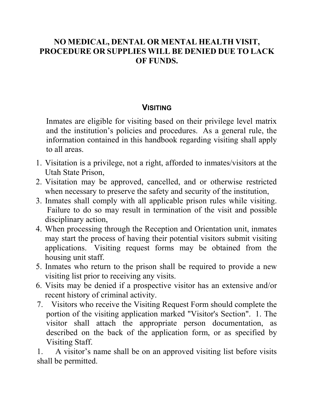#### **NO MEDICAL, DENTAL OR MENTAL HEALTH VISIT, PROCEDURE OR SUPPLIES WILL BE DENIED DUE TO LACK OF FUNDS. GRAMA Classified Public**

**UDC** 

## **VISITING**

Inmates are eligible for visiting based on their privilege level matrix and the institution's policies and procedures. As a general rule, the information contained in this handbook regarding visiting shall apply to all areas.

- 1. Visitation is a privilege, not a right, afforded to inmates/visitors at the Utah State Prison,
- 2. Visitation may be approved, cancelled, and or otherwise restricted when necessary to preserve the safety and security of the institution,
- 3. Inmates shall comply with all applicable prison rules while visiting. Failure to do so may result in termination of the visit and possible disciplinary action,
- 4. When processing through the Reception and Orientation unit, inmates may start the process of having their potential visitors submit visiting applications. Visiting request forms may be obtained from the housing unit staff.
- 5. Inmates who return to the prison shall be required to provide a new visiting list prior to receiving any visits.
- 6. Visits may be denied if a prospective visitor has an extensive and/or recent history of criminal activity.
- 7. Visitors who receive the Visiting Request Form should complete the portion of the visiting application marked "Visitor's Section". 1. The visitor shall attach the appropriate person documentation, as described on the back of the application form, or as specified by Visiting Staff.

1. A visitor's name shall be on an approved visiting list before visits shall be permitted.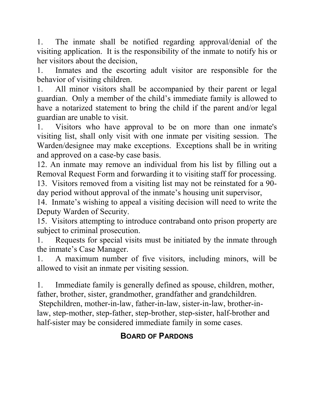1. The inmate shall be notified regarding approval/denial of the visiting application. It is the responsibility of the inmate to notify his or her visitors about the decision,

1. Inmates and the escorting adult visitor are responsible for the behavior of visiting children.

1. All minor visitors shall be accompanied by their parent or legal guardian. Only a member of the child's immediate family is allowed to have a notarized statement to bring the child if the parent and/or legal guardian are unable to visit.

1. Visitors who have approval to be on more than one inmate's visiting list, shall only visit with one inmate per visiting session. The Warden/designee may make exceptions. Exceptions shall be in writing and approved on a case-by case basis.

12. An inmate may remove an individual from his list by filling out a Removal Request Form and forwarding it to visiting staff for processing.

13. Visitors removed from a visiting list may not be reinstated for a 90 day period without approval of the inmate's housing unit supervisor,

14. Inmate's wishing to appeal a visiting decision will need to write the Deputy Warden of Security.

15. Visitors attempting to introduce contraband onto prison property are subject to criminal prosecution.

1. Requests for special visits must be initiated by the inmate through the inmate's Case Manager.

1. A maximum number of five visitors, including minors, will be allowed to visit an inmate per visiting session.

1. Immediate family is generally defined as spouse, children, mother, father, brother, sister, grandmother, grandfather and grandchildren.

Stepchildren, mother-in-law, father-in-law, sister-in-law, brother-inlaw, step-mother, step-father, step-brother, step-sister, half-brother and half-sister may be considered immediate family in some cases.

# **BOARD OF PARDONS**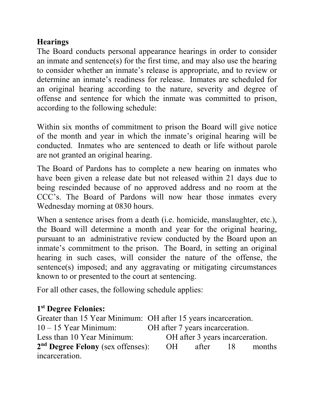## **Hearings**

The Board conducts personal appearance hearings in order to consider an inmate and sentence(s) for the first time, and may also use the hearing to consider whether an inmate's release is appropriate, and to review or determine an inmate's readiness for release. Inmates are scheduled for an original hearing according to the nature, severity and degree of offense and sentence for which the inmate was committed to prison, according to the following schedule:

Within six months of commitment to prison the Board will give notice of the month and year in which the inmate's original hearing will be conducted. Inmates who are sentenced to death or life without parole are not granted an original hearing.

The Board of Pardons has to complete a new hearing on inmates who have been given a release date but not released within 21 days due to being rescinded because of no approved address and no room at the CCC's. The Board of Pardons will now hear those inmates every Wednesday morning at 0830 hours.

When a sentence arises from a death (i.e. homicide, manslaughter, etc.), the Board will determine a month and year for the original hearing, pursuant to an administrative review conducted by the Board upon an inmate's commitment to the prison. The Board, in setting an original hearing in such cases, will consider the nature of the offense, the sentence(s) imposed; and any aggravating or mitigating circumstances known to or presented to the court at sentencing.

For all other cases, the following schedule applies:

# **1st Degree Felonies:**

Greater than 15 Year Minimum: OH after 15 years incarceration. 10 – 15 Year Minimum: OH after 7 years incarceration. Less than 10 Year Minimum: OH after 3 years incarceration. **2nd Degree Felony** (sex offenses): OH after 18 months incarceration.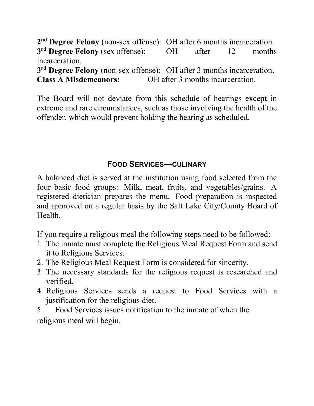**2nd Degree Felony** (non-sex offense): OH after 6 months incarceration. **3rd Degree Felony** (sex offense): OH after 12 months incarceration.

**3rd Degree Felony** (non-sex offense): OH after 3 months incarceration. **Class A Misdemeanors:** OH after 3 months incarceration.

The Board will not deviate from this schedule of hearings except in extreme and rare circumstances, such as those involving the health of the offender, which would prevent holding the hearing as scheduled.

## **FOOD SERVICES—CULINARY**

A balanced diet is served at the institution using food selected from the four basic food groups: Milk, meat, fruits, and vegetables/grains. A registered dietician prepares the menu. Food preparation is inspected and approved on a regular basis by the Salt Lake City/County Board of Health.

If you require a religious meal the following steps need to be followed:

- 1. The inmate must complete the Religious Meal Request Form and send it to Religious Services.
- 2. The Religious Meal Request Form is considered for sincerity.
- 3. The necessary standards for the religious request is researched and verified.
- 4. Religious Services sends a request to Food Services with a justification for the religious diet.
- 5. Food Services issues notification to the inmate of when the religious meal will begin.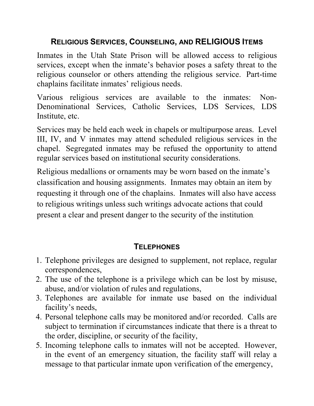#### **RELIGIOUS SERVICES, COUNSELING, AND RELIGIOUS ITEMS**

Inmates in the Utah State Prison will be allowed access to religious services, except when the inmate's behavior poses a safety threat to the religious counselor or others attending the religious service. Part-time chaplains facilitate inmates' religious needs.

Various religious services are available to the inmates: Non-Denominational Services, Catholic Services, LDS Services, LDS Institute, etc.

Services may be held each week in chapels or multipurpose areas. Level III, IV, and V inmates may attend scheduled religious services in the chapel. Segregated inmates may be refused the opportunity to attend regular services based on institutional security considerations.

Religious medallions or ornaments may be worn based on the inmate's classification and housing assignments. Inmates may obtain an item by requesting it through one of the chaplains. Inmates will also have access to religious writings unless such writings advocate actions that could present a clear and present danger to the security of the institution.

# **TELEPHONES**

- 1. Telephone privileges are designed to supplement, not replace, regular correspondences,
- 2. The use of the telephone is a privilege which can be lost by misuse, abuse, and/or violation of rules and regulations,
- 3. Telephones are available for inmate use based on the individual facility's needs,
- 4. Personal telephone calls may be monitored and/or recorded. Calls are subject to termination if circumstances indicate that there is a threat to the order, discipline, or security of the facility,
- 5. Incoming telephone calls to inmates will not be accepted. However, in the event of an emergency situation, the facility staff will relay a message to that particular inmate upon verification of the emergency,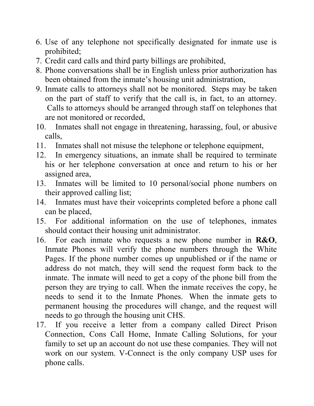- 6. Use of any telephone not specifically designated for inmate use is prohibited;
- 7. Credit card calls and third party billings are prohibited,
- 8. Phone conversations shall be in English unless prior authorization has been obtained from the inmate's housing unit administration,
- 9. Inmate calls to attorneys shall not be monitored. Steps may be taken on the part of staff to verify that the call is, in fact, to an attorney. Calls to attorneys should be arranged through staff on telephones that are not monitored or recorded,
- 10. Inmates shall not engage in threatening, harassing, foul, or abusive calls,
- 11. Inmates shall not misuse the telephone or telephone equipment,
- 12. In emergency situations, an inmate shall be required to terminate his or her telephone conversation at once and return to his or her assigned area,
- 13. Inmates will be limited to 10 personal/social phone numbers on their approved calling list;
- 14. Inmates must have their voiceprints completed before a phone call can be placed,
- 15. For additional information on the use of telephones, inmates should contact their housing unit administrator.
- 16. For each inmate who requests a new phone number in **R&O**, Inmate Phones will verify the phone numbers through the White Pages. If the phone number comes up unpublished or if the name or address do not match, they will send the request form back to the inmate. The inmate will need to get a copy of the phone bill from the person they are trying to call. When the inmate receives the copy, he needs to send it to the Inmate Phones. When the inmate gets to permanent housing the procedures will change, and the request will needs to go through the housing unit CHS.
- 17. If you receive a letter from a company called Direct Prison Connection, Cons Call Home, Inmate Calling Solutions, for your family to set up an account do not use these companies. They will not work on our system. V-Connect is the only company USP uses for phone calls.